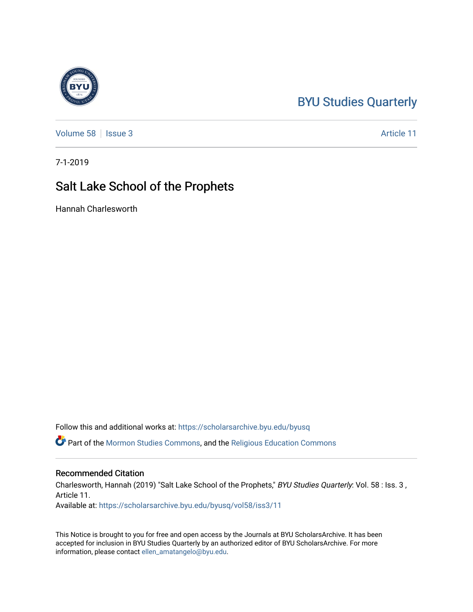## [BYU Studies Quarterly](https://scholarsarchive.byu.edu/byusq)

[Volume 58](https://scholarsarchive.byu.edu/byusq/vol58) | [Issue 3](https://scholarsarchive.byu.edu/byusq/vol58/iss3) Article 11

7-1-2019

## Salt Lake School of the Prophets

Hannah Charlesworth

Follow this and additional works at: [https://scholarsarchive.byu.edu/byusq](https://scholarsarchive.byu.edu/byusq?utm_source=scholarsarchive.byu.edu%2Fbyusq%2Fvol58%2Fiss3%2F11&utm_medium=PDF&utm_campaign=PDFCoverPages) 

Part of the [Mormon Studies Commons](http://network.bepress.com/hgg/discipline/1360?utm_source=scholarsarchive.byu.edu%2Fbyusq%2Fvol58%2Fiss3%2F11&utm_medium=PDF&utm_campaign=PDFCoverPages), and the [Religious Education Commons](http://network.bepress.com/hgg/discipline/1414?utm_source=scholarsarchive.byu.edu%2Fbyusq%2Fvol58%2Fiss3%2F11&utm_medium=PDF&utm_campaign=PDFCoverPages) 

## Recommended Citation

Charlesworth, Hannah (2019) "Salt Lake School of the Prophets," BYU Studies Quarterly: Vol. 58 : Iss. 3 , Article 11.

Available at: [https://scholarsarchive.byu.edu/byusq/vol58/iss3/11](https://scholarsarchive.byu.edu/byusq/vol58/iss3/11?utm_source=scholarsarchive.byu.edu%2Fbyusq%2Fvol58%2Fiss3%2F11&utm_medium=PDF&utm_campaign=PDFCoverPages) 

This Notice is brought to you for free and open access by the Journals at BYU ScholarsArchive. It has been accepted for inclusion in BYU Studies Quarterly by an authorized editor of BYU ScholarsArchive. For more information, please contact [ellen\\_amatangelo@byu.edu.](mailto:ellen_amatangelo@byu.edu)